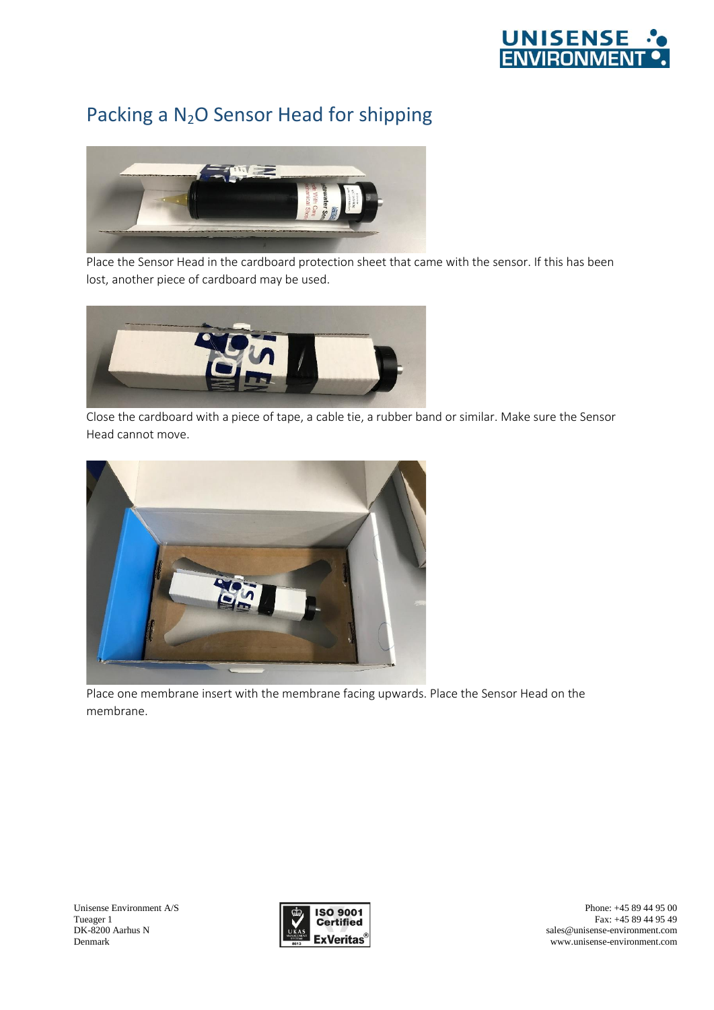

## Packing a N<sub>2</sub>O Sensor Head for shipping



Place the Sensor Head in the cardboard protection sheet that came with the sensor. If this has been lost, another piece of cardboard may be used.



Close the cardboard with a piece of tape, a cable tie, a rubber band or similar. Make sure the Sensor Head cannot move.



Place one membrane insert with the membrane facing upwards. Place the Sensor Head on the membrane.



Phone: +45 89 44 95 00 Fax: +45 89 44 95 49 sales@unisense-environment.com www.unisense-environment.com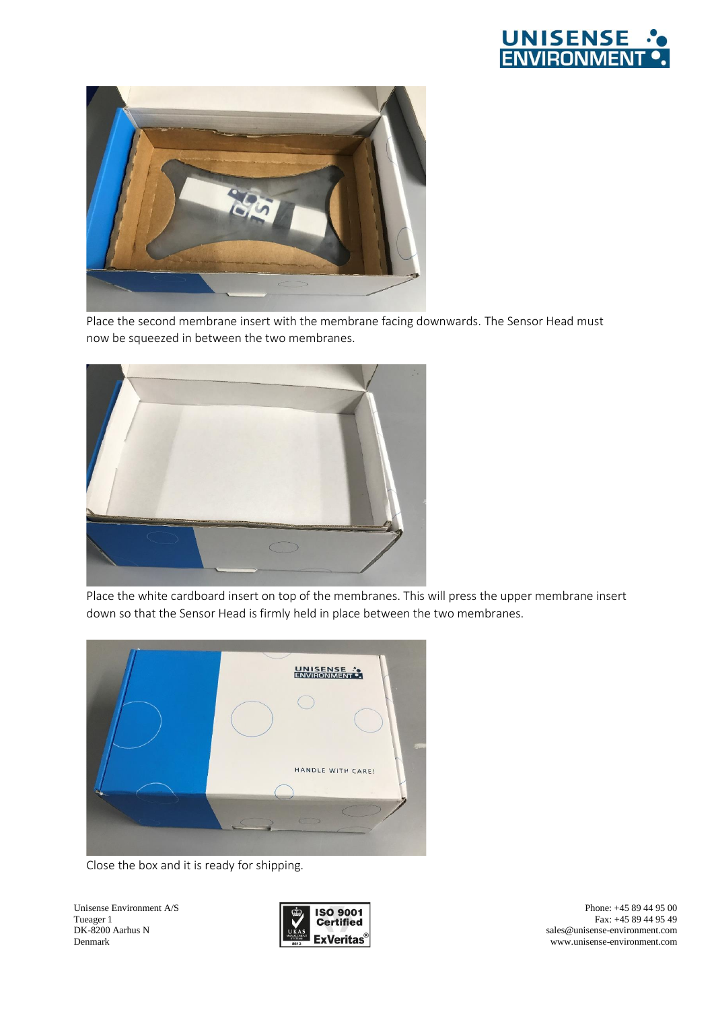



Place the second membrane insert with the membrane facing downwards. The Sensor Head must now be squeezed in between the two membranes.



Place the white cardboard insert on top of the membranes. This will press the upper membrane insert down so that the Sensor Head is firmly held in place between the two membranes.



Close the box and it is ready for shipping.

Unisense Environment A/S Tueager 1 DK-8200 Aarhus N Denmark



Phone: +45 89 44 95 00 Fax: +45 89 44 95 49 sales@unisense-environment.com www.unisense-environment.com